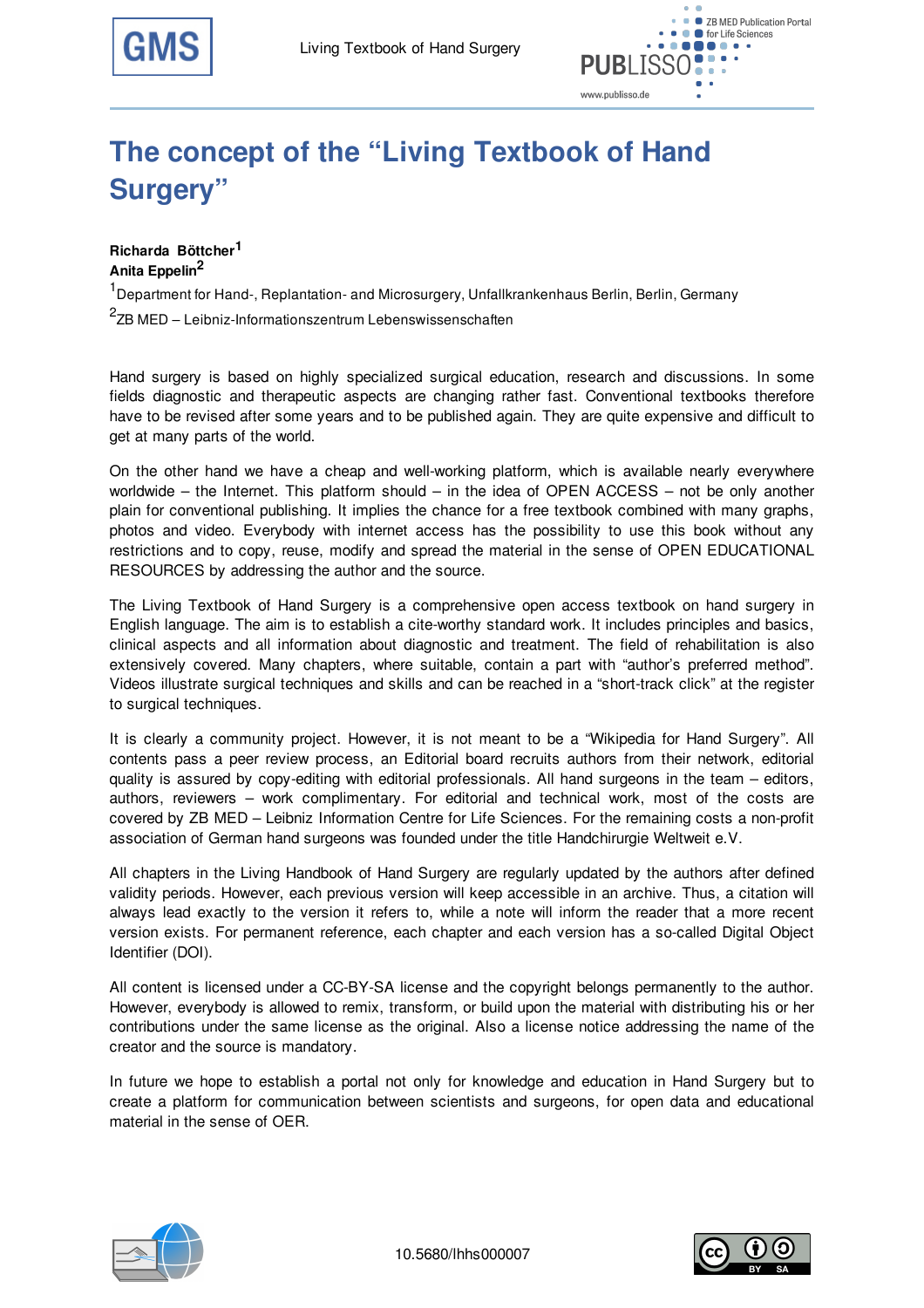

## **The concept of the "Living Textbook of Hand Surgery"**

**Richarda Böttcher 1 Anita Eppelin 2**

<sup>1</sup> Department for Hand-, Replantation- and Microsurgery, Unfallkrankenhaus Berlin, Berlin, Germany  $2$ ZB MED – Leibniz-Informationszentrum Lebenswissenschaften

Hand surgery is based on highly specialized surgical education, research and discussions. In some fields diagnostic and therapeutic aspects are changing rather fast. Conventional textbooks therefore have to be revised after some years and to be published again. They are quite expensive and difficult to get at many parts of the world.

On the other hand we have a cheap and well-working platform, which is available nearly everywhere worldwide – the Internet. This platform should – in the idea of OPEN ACCESS – not be only another plain for conventional publishing. It implies the chance for a free textbook combined with many graphs, photos and video. Everybody with internet access has the possibility to use this book without any restrictions and to copy, reuse, modify and spread the material in the sense of OPEN EDUCATIONAL RESOURCES by addressing the author and the source.

The Living Textbook of Hand Surgery is a comprehensive open access textbook on hand surgery in English language. The aim is to establish a cite-worthy standard work. It includes principles and basics, clinical aspects and all information about diagnostic and treatment. The field of rehabilitation is also extensively covered. Many chapters, where suitable, contain a part with "author's preferred method". Videos illustrate surgical techniques and skills and can be reached in a "short-track click" at the register to surgical techniques.

It is clearly a community project. However, it is not meant to be a "Wikipedia for Hand Surgery". All contents pass a peer review process, an Editorial board recruits authors from their network, editorial quality is assured by copy-editing with editorial professionals. All hand surgeons in the team – editors, authors, reviewers – work complimentary. For editorial and technical work, most of the costs are covered by ZB MED – Leibniz Information Centre for Life Sciences. For the remaining costs a non-profit association of German hand surgeons was founded under the title Handchirurgie Weltweit e.V.

All chapters in the Living Handbook of Hand Surgery are regularly updated by the authors after defined validity periods. However, each previous version will keep accessible in an archive. Thus, a citation will always lead exactly to the version it refers to, while a note will inform the reader that a more recent version exists. For permanent reference, each chapter and each version has a so-called Digital Object Identifier (DOI).

All content is licensed under a CC-BY-SA license and the copyright belongs permanently to the author. However, everybody is allowed to remix, transform, or build upon the material with distributing his or her contributions under the same license as the original. Also a license notice addressing the name of the creator and the source is mandatory.

In future we hope to establish a portal not only for knowledge and education in Hand Surgery but to create a platform for communication between scientists and surgeons, for open data and educational material in the sense of OER.